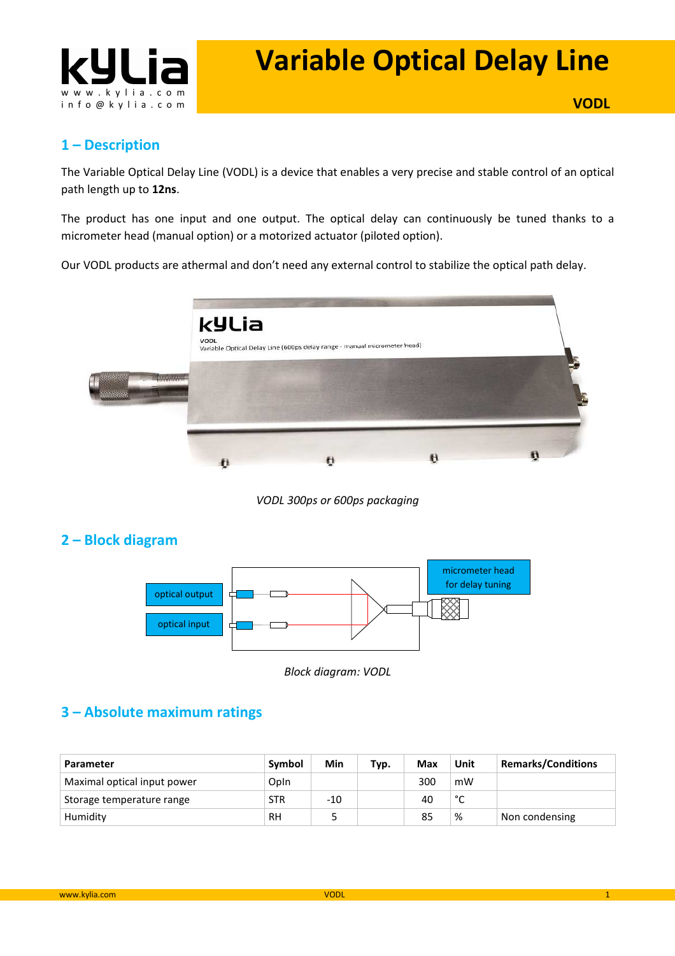

# **Variable Optical Delay Line**

## **1 – Description**

The Variable Optical Delay Line (VODL) is a device that enables a very precise and stable control of an optical path length up to **12ns**.

The product has one input and one output. The optical delay can continuously be tuned thanks to a micrometer head (manual option) or a motorized actuator (piloted option).

Our VODL products are athermal and don't need any external control to stabilize the optical path delay.



*VODL 300ps or 600ps packaging* 

# **2 – Block diagram**



*Block diagram: VODL* 

# **3 – Absolute maximum ratings**

| Parameter                   | Symbol     | Min   | Typ. | Max | Unit   | <b>Remarks/Conditions</b> |
|-----------------------------|------------|-------|------|-----|--------|---------------------------|
| Maximal optical input power | Opln       |       |      | 300 | mW     |                           |
| Storage temperature range   | <b>STR</b> | $-10$ |      | 40  | $\sim$ |                           |
| Humidity                    | RH         |       |      | 85  | %      | Non condensing            |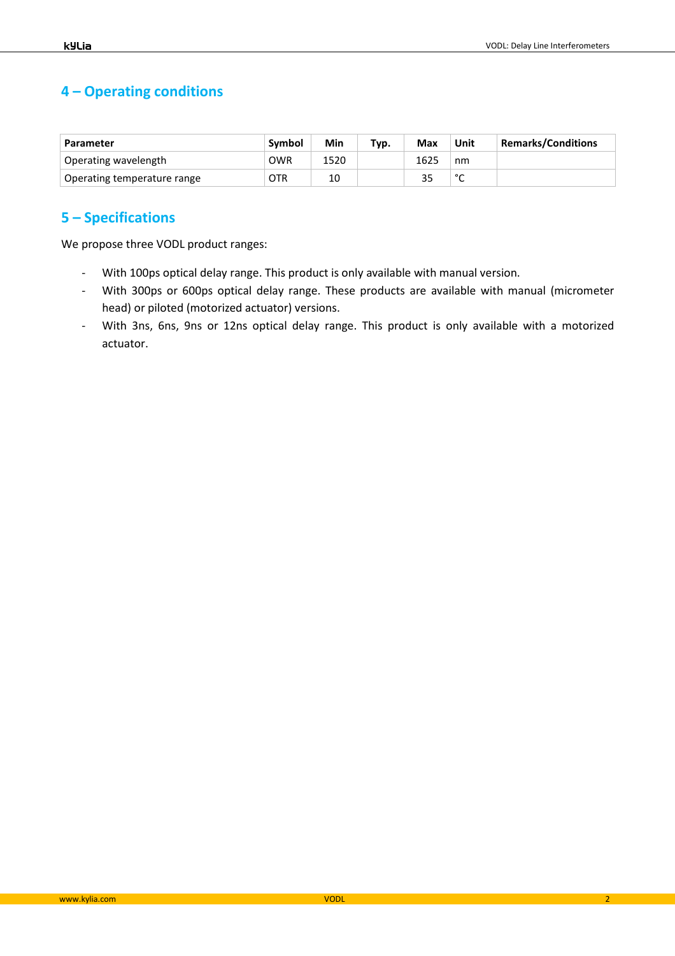# **4 – Operating conditions**

| Parameter                   | Symbol | Min  | Typ. | Max  | Unit        | <b>Remarks/Conditions</b> |
|-----------------------------|--------|------|------|------|-------------|---------------------------|
| Operating wavelength        | OWR    | 1520 |      | 1625 | nm          |                           |
| Operating temperature range | OTR    | 10   |      |      | $\sim$<br>◡ |                           |

## **5 – Specifications**

We propose three VODL product ranges:

- With 100ps optical delay range. This product is only available with manual version.
- With 300ps or 600ps optical delay range. These products are available with manual (micrometer head) or piloted (motorized actuator) versions.
- With 3ns, 6ns, 9ns or 12ns optical delay range. This product is only available with a motorized actuator.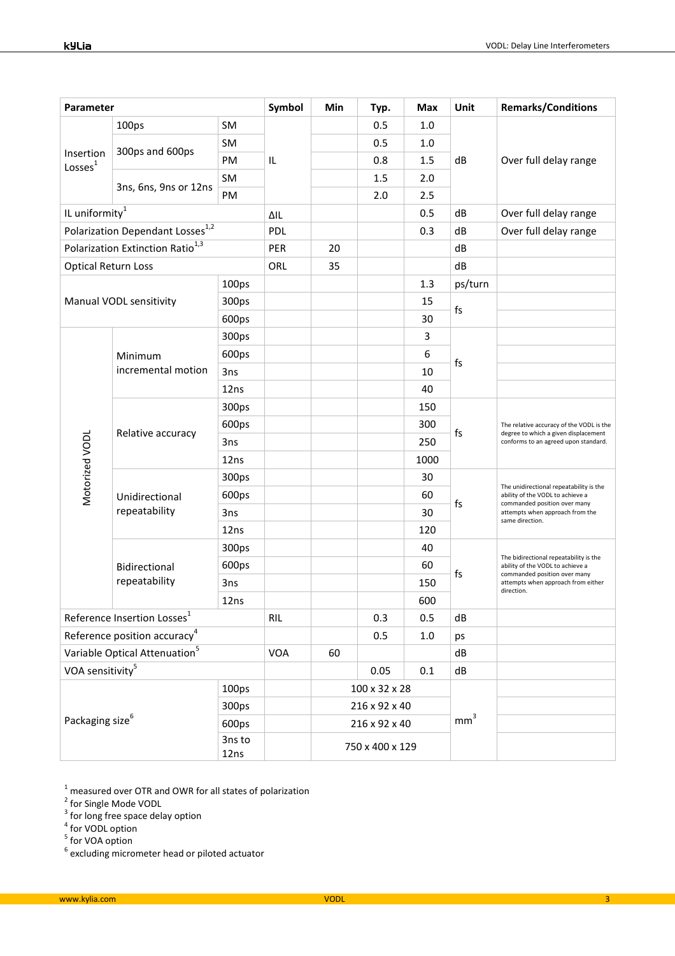| Parameter                                                                            |                                 | Symbol     | Min             | Typ. | Max     | Unit            | <b>Remarks/Conditions</b> |                                                                                                                                                                   |
|--------------------------------------------------------------------------------------|---------------------------------|------------|-----------------|------|---------|-----------------|---------------------------|-------------------------------------------------------------------------------------------------------------------------------------------------------------------|
| Insertion<br>Losses <sup>1</sup>                                                     | 100ps                           | SM         | IL              |      | 0.5     | 1.0             | dB                        | Over full delay range                                                                                                                                             |
|                                                                                      | 300ps and 600ps                 | <b>SM</b>  |                 |      | 0.5     | 1.0             |                           |                                                                                                                                                                   |
|                                                                                      |                                 | PM         |                 |      | 0.8     | 1.5             |                           |                                                                                                                                                                   |
|                                                                                      | 3ns, 6ns, 9ns or 12ns           | SM         |                 |      | 1.5     | 2.0             |                           |                                                                                                                                                                   |
|                                                                                      |                                 | PM         |                 |      | 2.0     | 2.5             |                           |                                                                                                                                                                   |
| IL uniformity <sup>1</sup>                                                           |                                 | ΔIL        |                 |      | 0.5     | dB              | Over full delay range     |                                                                                                                                                                   |
| Polarization Dependant Losses <sup>1,2</sup>                                         |                                 | <b>PDL</b> |                 |      | 0.3     | dB              | Over full delay range     |                                                                                                                                                                   |
| Polarization Extinction Ratio <sup>1,3</sup>                                         |                                 | PER        | 20              |      |         | dB              |                           |                                                                                                                                                                   |
| <b>Optical Return Loss</b>                                                           |                                 | ORL        | 35              |      |         | dB              |                           |                                                                                                                                                                   |
| Manual VODL sensitivity                                                              |                                 | 100ps      |                 |      |         | 1.3             | ps/turn                   |                                                                                                                                                                   |
|                                                                                      |                                 | 300ps      |                 |      |         | 15              | fs                        |                                                                                                                                                                   |
|                                                                                      |                                 | 600ps      |                 |      |         | 30              |                           |                                                                                                                                                                   |
|                                                                                      |                                 | 300ps      |                 |      |         | 3               | fs                        |                                                                                                                                                                   |
|                                                                                      | Minimum<br>incremental motion   | 600ps      |                 |      |         | 6               |                           |                                                                                                                                                                   |
|                                                                                      |                                 | 3ns        |                 |      |         | 10              |                           |                                                                                                                                                                   |
|                                                                                      |                                 | 12ns       |                 |      |         | 40              |                           |                                                                                                                                                                   |
|                                                                                      | Relative accuracy               | 300ps      |                 |      |         | 150             | fs                        | The relative accuracy of the VODL is the<br>degree to which a given displacement<br>conforms to an agreed upon standard.                                          |
| Motorized VODL                                                                       |                                 | 600ps      |                 |      |         | 300             |                           |                                                                                                                                                                   |
|                                                                                      |                                 | 3ns        |                 |      |         | 250             |                           |                                                                                                                                                                   |
|                                                                                      |                                 | 12ns       |                 |      |         | 1000            |                           |                                                                                                                                                                   |
|                                                                                      | Unidirectional<br>repeatability | 300ps      |                 |      |         | 30              | fs                        | The unidirectional repeatability is the<br>ability of the VODL to achieve a<br>commanded position over many<br>attempts when approach from the<br>same direction. |
|                                                                                      |                                 | 600ps      |                 |      |         | 60              |                           |                                                                                                                                                                   |
|                                                                                      |                                 | 3ns        |                 |      |         | 30              |                           |                                                                                                                                                                   |
|                                                                                      |                                 | 12ns       |                 |      |         | 120             |                           |                                                                                                                                                                   |
|                                                                                      | Bidirectional<br>repeatability  | 300ps      |                 |      |         | 40              | fs                        | The bidirectional repeatability is the<br>ability of the VODL to achieve a<br>commanded position over many<br>attempts when approach from either<br>direction.    |
|                                                                                      |                                 | 600ps      |                 |      |         | 60              |                           |                                                                                                                                                                   |
|                                                                                      |                                 | 3ns        |                 |      |         | 150             |                           |                                                                                                                                                                   |
|                                                                                      |                                 | 12ns       |                 |      |         | 600             |                           |                                                                                                                                                                   |
| Reference Insertion Losses <sup>1</sup>                                              |                                 | <b>RIL</b> |                 | 0.3  | 0.5     | ${\sf dB}$      |                           |                                                                                                                                                                   |
| Reference position accuracy <sup>4</sup>                                             |                                 |            |                 | 0.5  | $1.0\,$ | ps              |                           |                                                                                                                                                                   |
| Variable Optical Attenuation <sup>5</sup>                                            |                                 | <b>VOA</b> | 60              |      |         | dB              |                           |                                                                                                                                                                   |
| VOA sensitivity <sup>5</sup>                                                         |                                 |            |                 | 0.05 | 0.1     | dB              |                           |                                                                                                                                                                   |
| 100 <sub>ps</sub><br>300ps<br>Packaging size <sup>6</sup><br>600ps<br>3ns to<br>12ns |                                 |            | 100 x 32 x 28   |      |         | mm <sup>3</sup> |                           |                                                                                                                                                                   |
|                                                                                      |                                 |            | 216 x 92 x 40   |      |         |                 |                           |                                                                                                                                                                   |
|                                                                                      |                                 |            | 216 x 92 x 40   |      |         |                 |                           |                                                                                                                                                                   |
|                                                                                      |                                 |            | 750 x 400 x 129 |      |         |                 |                           |                                                                                                                                                                   |

<sup>1</sup> measured over OTR and OWR for all states of polarization<br>
<sup>2</sup> for Single Mode VODL<br>
<sup>3</sup> for long free space delay option<br>
<sup>5</sup> for VOA option<br>
<sup>5</sup> for VOA option<br>
<sup>6</sup> excluding micrometer head or piloted actuator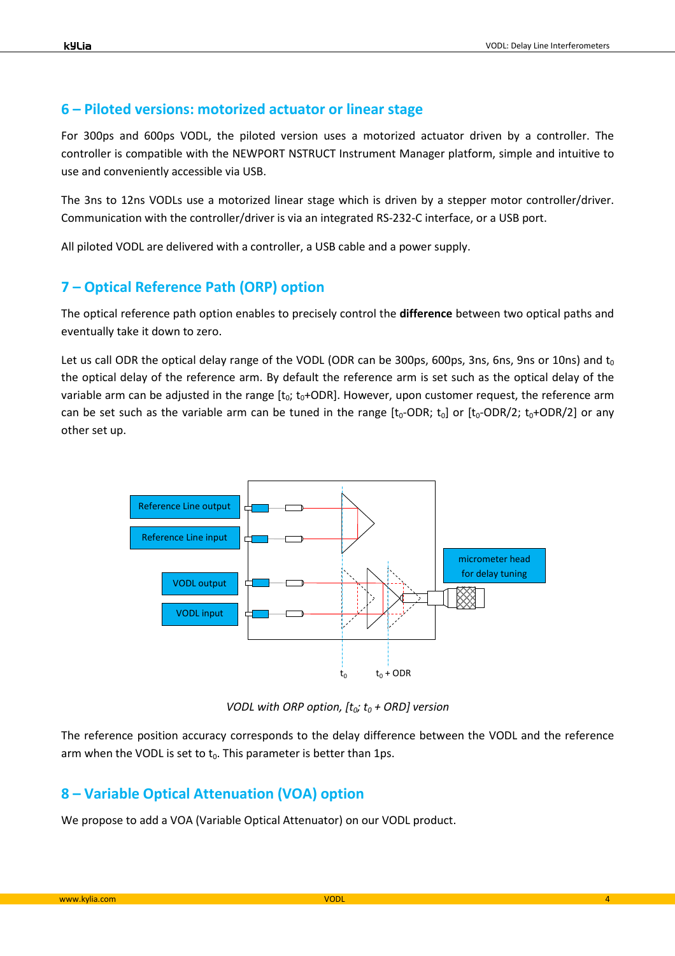#### **6 – Piloted versions: motorized actuator or linear stage**

For 300ps and 600ps VODL, the piloted version uses a motorized actuator driven by a controller. The controller is compatible with the NEWPORT NSTRUCT Instrument Manager platform, simple and intuitive to use and conveniently accessible via USB.

The 3ns to 12ns VODLs use a motorized linear stage which is driven by a stepper motor controller/driver. Communication with the controller/driver is via an integrated RS-232-C interface, or a USB port.

All piloted VODL are delivered with a controller, a USB cable and a power supply.

### **7 – Optical Reference Path (ORP) option**

The optical reference path option enables to precisely control the **difference** between two optical paths and eventually take it down to zero.

Let us call ODR the optical delay range of the VODL (ODR can be 300ps, 600ps, 3ns, 6ns, 9ns or 10ns) and  $t_0$ the optical delay of the reference arm. By default the reference arm is set such as the optical delay of the variable arm can be adjusted in the range  $[t_0; t_0+ODR]$ . However, upon customer request, the reference arm can be set such as the variable arm can be tuned in the range  $[t_0$ -ODR;  $t_0]$  or  $[t_0$ -ODR/2;  $t_0$ +ODR/2] or any other set up.



*VODL with ORP option, [t0; t0 + ORD] version* 

The reference position accuracy corresponds to the delay difference between the VODL and the reference arm when the VODL is set to  $t_0$ . This parameter is better than 1ps.

#### **8 – Variable Optical Attenuation (VOA) option**

We propose to add a VOA (Variable Optical Attenuator) on our VODL product.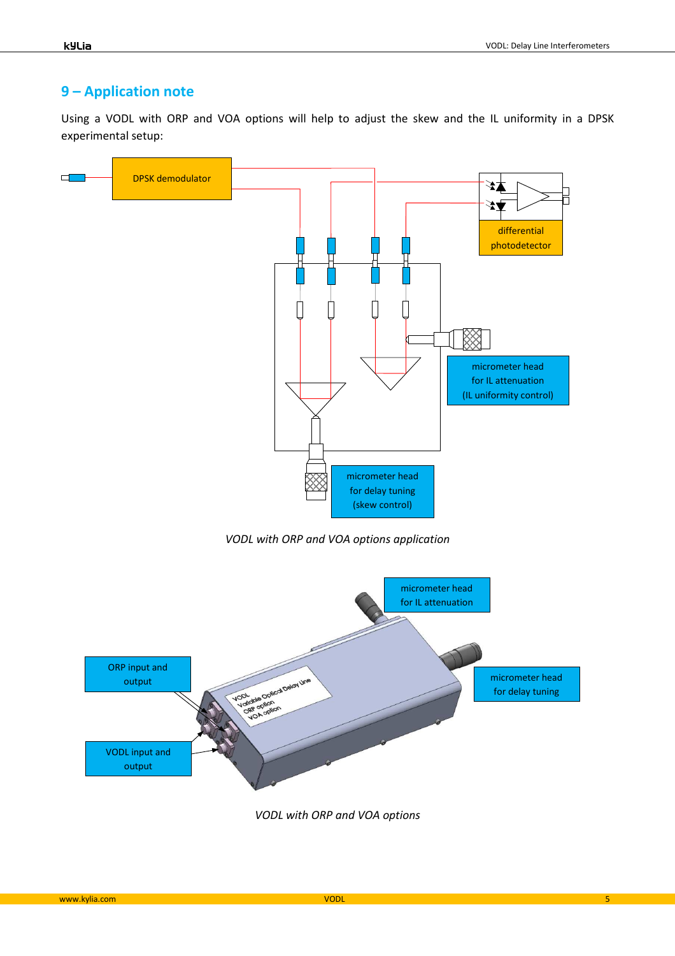## **9 – Application note**

Using a VODL with ORP and VOA options will help to adjust the skew and the IL uniformity in a DPSK experimental setup:

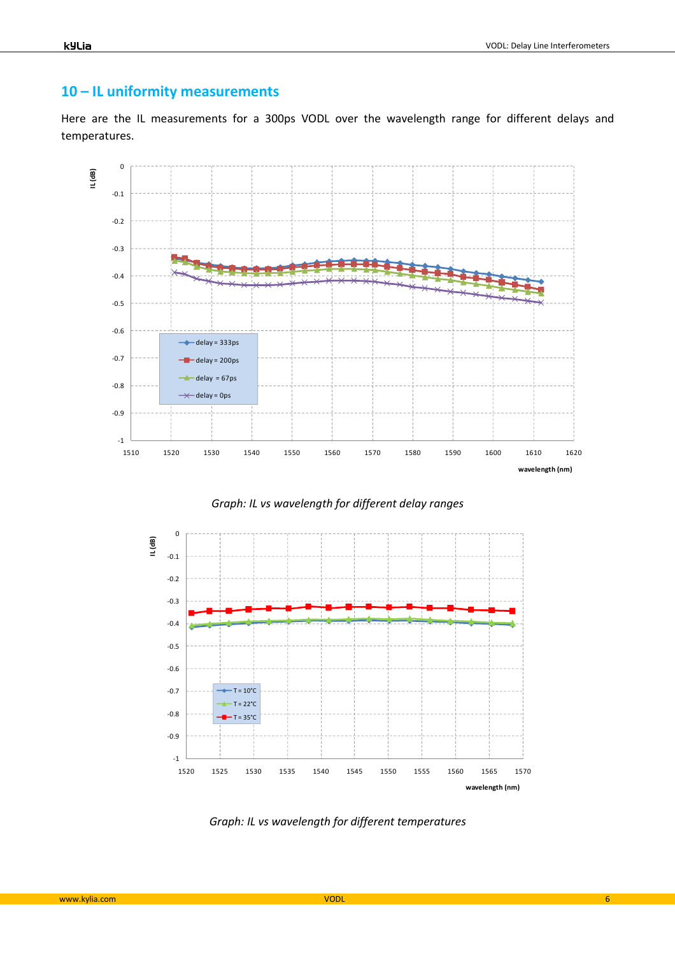#### kyLia

## **10 – IL uniformity measurements**

Here are the IL measurements for a 300ps VODL over the wavelength range for different delays and temperatures.



*Graph: IL vs wavelength for different delay ranges* 



*Graph: IL vs wavelength for different temperatures*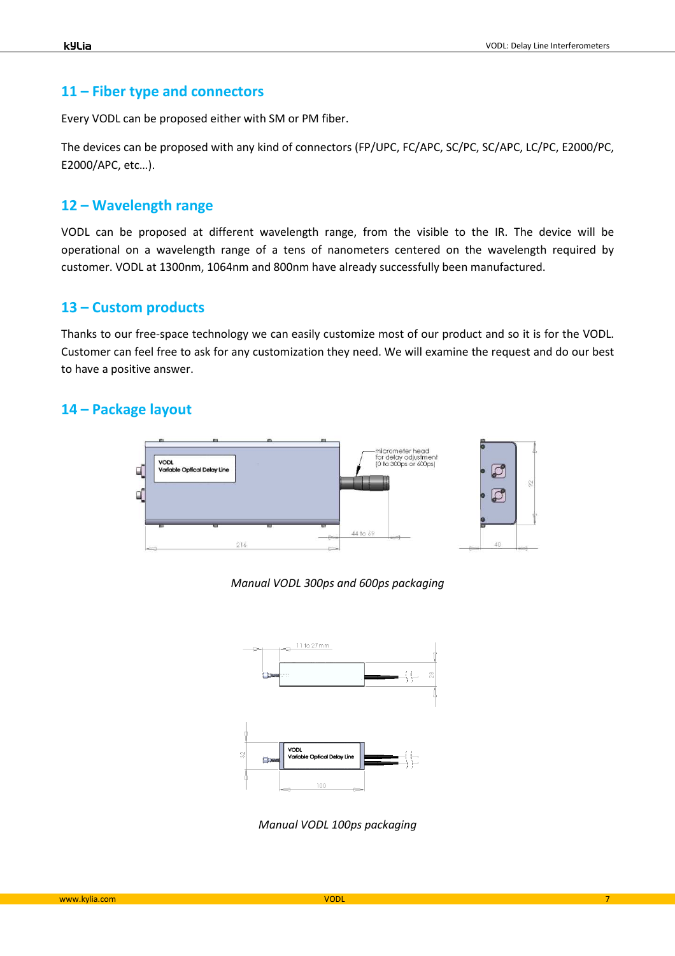## **11 – Fiber type and connectors**

Every VODL can be proposed either with SM or PM fiber.

The devices can be proposed with any kind of connectors (FP/UPC, FC/APC, SC/PC, SC/APC, LC/PC, E2000/PC, E2000/APC, etc…).

## **12 – Wavelength range**

VODL can be proposed at different wavelength range, from the visible to the IR. The device will be operational on a wavelength range of a tens of nanometers centered on the wavelength required by customer. VODL at 1300nm, 1064nm and 800nm have already successfully been manufactured.

## **13 – Custom products**

Thanks to our free-space technology we can easily customize most of our product and so it is for the VODL. Customer can feel free to ask for any customization they need. We will examine the request and do our best to have a positive answer.

## **14 – Package layout**



*Manual VODL 300ps and 600ps packaging* 



*Manual VODL 100ps packaging*